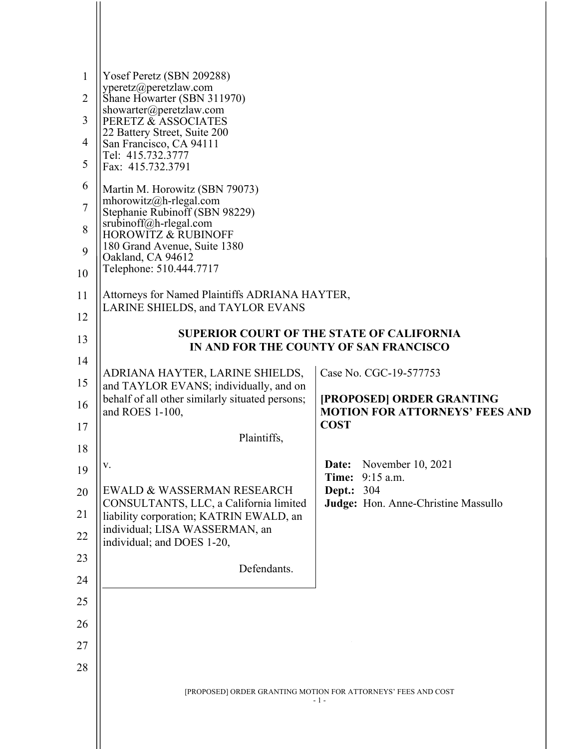| 1<br>2<br>3<br>4<br>5<br>6<br>7<br>8<br>9<br>10<br>11<br>12<br>13<br>14<br>15<br>16<br>17<br>18<br>19<br>20<br>21<br>22<br>23 | Yosef Peretz (SBN 209288)<br>yperetz@peretzlaw.com<br>Shane Howarter (SBN 311970)<br>showarter@peretzlaw.com<br>PERETZ & ASSOCIATES<br>22 Battery Street, Suite 200<br>San Francisco, CA 94111<br>Tel: 415.732.3777<br>Fax: 415.732.3791<br>Martin M. Horowitz (SBN 79073)<br>mhorowitz@h-rlegal.com<br>Stephanie Rubinoff (SBN 98229)<br>srubinoff@h-rlegal.com<br><b>HOROWITZ &amp; RUBINOFF</b><br>180 Grand Avenue, Suite 1380<br>Oakland, CA 94612<br>Telephone: 510.444.7717<br>Attorneys for Named Plaintiffs ADRIANA HAYTER,<br>LARINE SHIELDS, and TAYLOR EVANS<br>ADRIANA HAYTER, LARINE SHIELDS,<br>and TAYLOR EVANS; individually, and on<br>behalf of all other similarly situated persons;<br>and ROES 1-100,<br>Plaintiffs,<br>V.<br>EWALD & WASSERMAN RESEARCH<br>CONSULTANTS, LLC, a California limited<br>liability corporation; KATRIN EWALD, an<br>individual; LISA WASSERMAN, an<br>individual; and DOES 1-20, | <b>SUPERIOR COURT OF THE STATE OF CALIFORNIA</b><br>IN AND FOR THE COUNTY OF SAN FRANCISCO<br>Case No. CGC-19-577753<br>[PROPOSED] ORDER GRANTING<br><b>MOTION FOR ATTORNEYS' FEES AND</b><br><b>COST</b><br>November 10, 2021<br>Date:<br>Time: 9:15 a.m.<br><b>Dept.: 304</b><br>Judge: Hon. Anne-Christine Massullo |
|-------------------------------------------------------------------------------------------------------------------------------|-------------------------------------------------------------------------------------------------------------------------------------------------------------------------------------------------------------------------------------------------------------------------------------------------------------------------------------------------------------------------------------------------------------------------------------------------------------------------------------------------------------------------------------------------------------------------------------------------------------------------------------------------------------------------------------------------------------------------------------------------------------------------------------------------------------------------------------------------------------------------------------------------------------------------------------|------------------------------------------------------------------------------------------------------------------------------------------------------------------------------------------------------------------------------------------------------------------------------------------------------------------------|
|                                                                                                                               |                                                                                                                                                                                                                                                                                                                                                                                                                                                                                                                                                                                                                                                                                                                                                                                                                                                                                                                                     |                                                                                                                                                                                                                                                                                                                        |
|                                                                                                                               | Defendants.                                                                                                                                                                                                                                                                                                                                                                                                                                                                                                                                                                                                                                                                                                                                                                                                                                                                                                                         |                                                                                                                                                                                                                                                                                                                        |
|                                                                                                                               |                                                                                                                                                                                                                                                                                                                                                                                                                                                                                                                                                                                                                                                                                                                                                                                                                                                                                                                                     |                                                                                                                                                                                                                                                                                                                        |
| 24                                                                                                                            |                                                                                                                                                                                                                                                                                                                                                                                                                                                                                                                                                                                                                                                                                                                                                                                                                                                                                                                                     |                                                                                                                                                                                                                                                                                                                        |
| 25                                                                                                                            |                                                                                                                                                                                                                                                                                                                                                                                                                                                                                                                                                                                                                                                                                                                                                                                                                                                                                                                                     |                                                                                                                                                                                                                                                                                                                        |
| 26                                                                                                                            |                                                                                                                                                                                                                                                                                                                                                                                                                                                                                                                                                                                                                                                                                                                                                                                                                                                                                                                                     |                                                                                                                                                                                                                                                                                                                        |
| 27<br>28                                                                                                                      |                                                                                                                                                                                                                                                                                                                                                                                                                                                                                                                                                                                                                                                                                                                                                                                                                                                                                                                                     |                                                                                                                                                                                                                                                                                                                        |